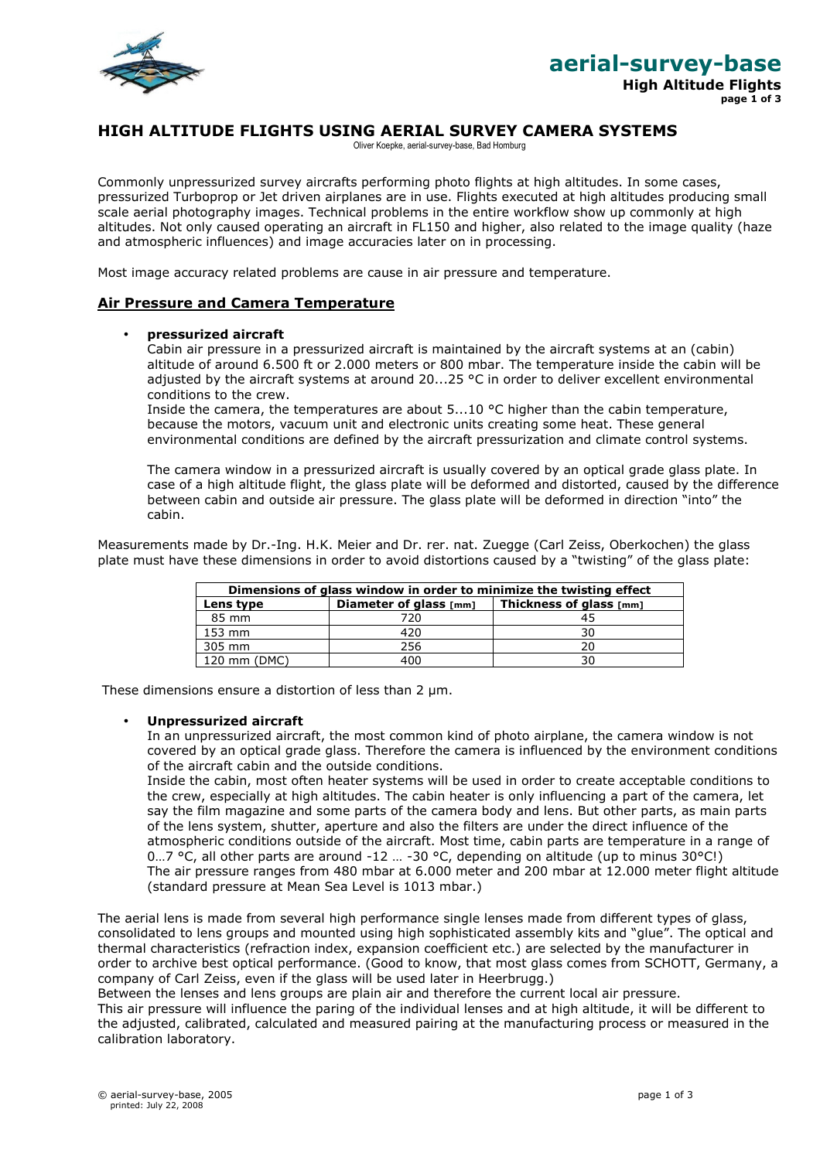

## **HIGH ALTITUDE FLIGHTS USING AERIAL SURVEY CAMERA SYSTEMS**

Oliver Koepke, aerial-survey-base, Bad Homburg

Commonly unpressurized survey aircrafts performing photo flights at high altitudes. In some cases, pressurized Turboprop or Jet driven airplanes are in use. Flights executed at high altitudes producing small scale aerial photography images. Technical problems in the entire workflow show up commonly at high altitudes. Not only caused operating an aircraft in FL150 and higher, also related to the image quality (haze and atmospheric influences) and image accuracies later on in processing.

Most image accuracy related problems are cause in air pressure and temperature.

## **Air Pressure and Camera Temperature**

### • **pressurized aircraft**

Cabin air pressure in a pressurized aircraft is maintained by the aircraft systems at an (cabin) altitude of around 6.500 ft or 2.000 meters or 800 mbar. The temperature inside the cabin will be adjusted by the aircraft systems at around 20...25 °C in order to deliver excellent environmental conditions to the crew.

Inside the camera, the temperatures are about  $5...10$  °C higher than the cabin temperature, because the motors, vacuum unit and electronic units creating some heat. These general environmental conditions are defined by the aircraft pressurization and climate control systems.

The camera window in a pressurized aircraft is usually covered by an optical grade glass plate. In case of a high altitude flight, the glass plate will be deformed and distorted, caused by the difference between cabin and outside air pressure. The glass plate will be deformed in direction "into" the cabin.

Measurements made by Dr.-Ing. H.K. Meier and Dr. rer. nat. Zuegge (Carl Zeiss, Oberkochen) the glass plate must have these dimensions in order to avoid distortions caused by a "twisting" of the glass plate:

| Dimensions of glass window in order to minimize the twisting effect |                        |                         |  |  |  |  |
|---------------------------------------------------------------------|------------------------|-------------------------|--|--|--|--|
| Lens type                                                           | Diameter of glass [mm] | Thickness of glass [mm] |  |  |  |  |
| 85 mm                                                               | 720                    |                         |  |  |  |  |
| 153 mm                                                              | 420                    | 30                      |  |  |  |  |
| 305 mm                                                              | 256                    |                         |  |  |  |  |
| 120 mm (DMC)                                                        | 400                    |                         |  |  |  |  |

These dimensions ensure a distortion of less than 2  $\mu$ m.

#### • **Unpressurized aircraft**

In an unpressurized aircraft, the most common kind of photo airplane, the camera window is not covered by an optical grade glass. Therefore the camera is influenced by the environment conditions of the aircraft cabin and the outside conditions.

Inside the cabin, most often heater systems will be used in order to create acceptable conditions to the crew, especially at high altitudes. The cabin heater is only influencing a part of the camera, let say the film magazine and some parts of the camera body and lens. But other parts, as main parts of the lens system, shutter, aperture and also the filters are under the direct influence of the atmospheric conditions outside of the aircraft. Most time, cabin parts are temperature in a range of 0...7 °C, all other parts are around -12 ... -30 °C, depending on altitude (up to minus 30°C!) The air pressure ranges from 480 mbar at 6.000 meter and 200 mbar at 12.000 meter flight altitude (standard pressure at Mean Sea Level is 1013 mbar.)

The aerial lens is made from several high performance single lenses made from different types of glass, consolidated to lens groups and mounted using high sophisticated assembly kits and "glue". The optical and thermal characteristics (refraction index, expansion coefficient etc.) are selected by the manufacturer in order to archive best optical performance. (Good to know, that most glass comes from SCHOTT, Germany, a company of Carl Zeiss, even if the glass will be used later in Heerbrugg.)

Between the lenses and lens groups are plain air and therefore the current local air pressure. This air pressure will influence the paring of the individual lenses and at high altitude, it will be different to the adjusted, calibrated, calculated and measured pairing at the manufacturing process or measured in the calibration laboratory.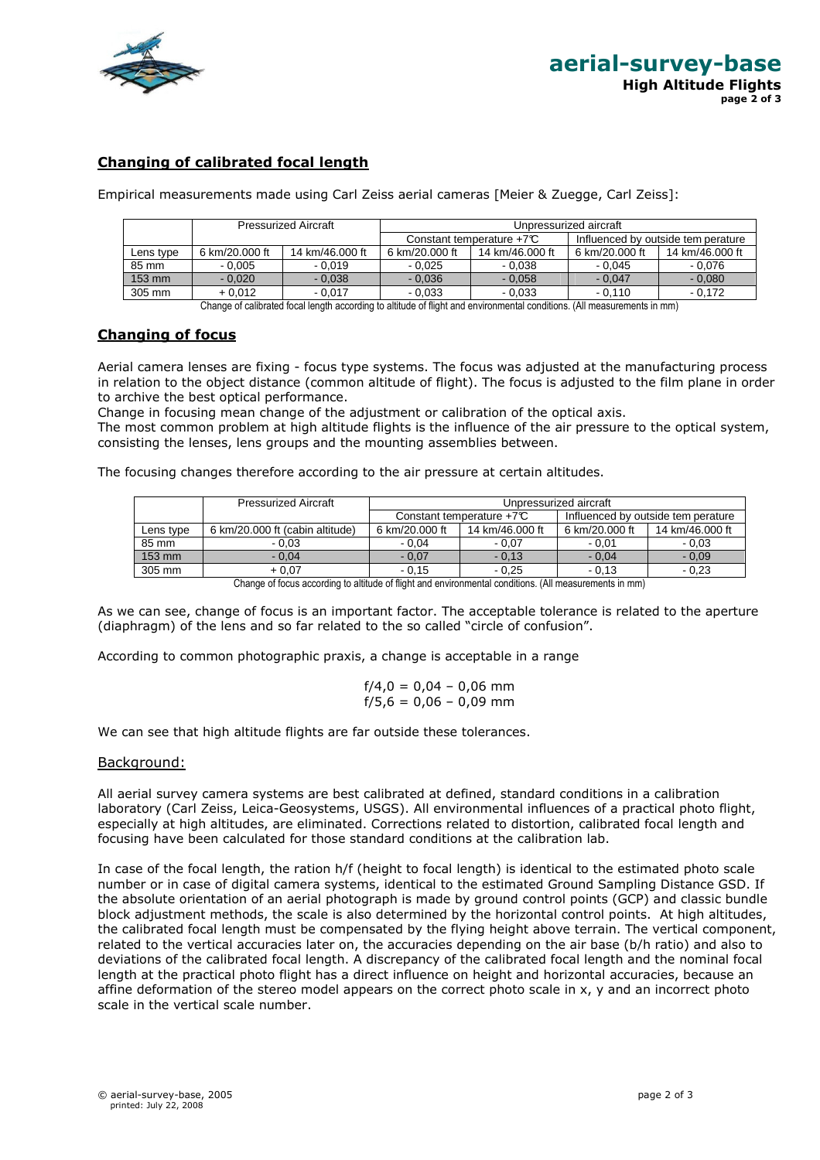

# **Changing of calibrated focal length**

Empirical measurements made using Carl Zeiss aerial cameras [Meier & Zuegge, Carl Zeiss]:

|                |                 | Constant temperature $+7C$  |                 | Influenced by outside tem perature |                        |  |
|----------------|-----------------|-----------------------------|-----------------|------------------------------------|------------------------|--|
| 6 km/20.000 ft | 14 km/46.000 ft | 6 km/20.000 ft              | 14 km/46,000 ft | 6 km/20.000 ft                     | 14 km/46.000 ft        |  |
| $-0.005$       | $-0.019$        | $-0.025$                    | $-0.038$        | $-0.045$                           | $-0.076$               |  |
| $-0.020$       | $-0.038$        | $-0.036$                    | $-0.058$        | $-0.047$                           | $-0.080$               |  |
| $+0.012$       | $-0.017$        | $-0.033$                    | $-0.033$        | $-0.110$                           | $-0.172$               |  |
|                |                 | <b>Pressurized Aircraft</b> |                 |                                    | Unpressurized aircraft |  |

Change of calibrated focal length according to altitude of flight and environmental conditions. (All measurements in mm)

## **Changing of focus**

Aerial camera lenses are fixing - focus type systems. The focus was adjusted at the manufacturing process in relation to the object distance (common altitude of flight). The focus is adjusted to the film plane in order to archive the best optical performance.

Change in focusing mean change of the adjustment or calibration of the optical axis.

The most common problem at high altitude flights is the influence of the air pressure to the optical system, consisting the lenses, lens groups and the mounting assemblies between.

The focusing changes therefore according to the air pressure at certain altitudes.

|           | <b>Pressurized Aircraft</b>     | Unpressurized aircraft     |                             |                                    |                 |  |
|-----------|---------------------------------|----------------------------|-----------------------------|------------------------------------|-----------------|--|
|           |                                 | Constant temperature $+7C$ |                             | Influenced by outside tem perature |                 |  |
| Lens type | 6 km/20,000 ft (cabin altitude) | 6 km/20.000 ft             | 14 km/46.000 ft             | 6 km/20.000 ft                     | 14 km/46.000 ft |  |
| 85 mm     | $-0.03$                         | $-0.04$                    | $-0.07$                     | $-0.01$                            | $-0.03$         |  |
| 153 mm    | $-0.04$                         | $-0.07$                    | $-0.13$                     | $-0.04$                            | $-0.09$         |  |
| 305 mm    | + 0.07                          | $-0.15$                    | $-0.25$                     | $-0.13$                            | $-0.23$         |  |
|           | $\sim$<br>. .<br>               | $\sim$ $\sim$ $\sim$       | $\lambda$ and $\lambda$<br> |                                    |                 |  |

Change of focus according to altitude of flight and environmental conditions. (All measurements in mm)

As we can see, change of focus is an important factor. The acceptable tolerance is related to the aperture (diaphragm) of the lens and so far related to the so called "circle of confusion".

According to common photographic praxis, a change is acceptable in a range

$$
f/4,0 = 0,04 - 0,06 \text{ mm}
$$
  

$$
f/5,6 = 0,06 - 0,09 \text{ mm}
$$

We can see that high altitude flights are far outside these tolerances.

### Background:

All aerial survey camera systems are best calibrated at defined, standard conditions in a calibration laboratory (Carl Zeiss, Leica-Geosystems, USGS). All environmental influences of a practical photo flight, especially at high altitudes, are eliminated. Corrections related to distortion, calibrated focal length and focusing have been calculated for those standard conditions at the calibration lab.

In case of the focal length, the ration h/f (height to focal length) is identical to the estimated photo scale number or in case of digital camera systems, identical to the estimated Ground Sampling Distance GSD. If the absolute orientation of an aerial photograph is made by ground control points (GCP) and classic bundle block adjustment methods, the scale is also determined by the horizontal control points. At high altitudes, the calibrated focal length must be compensated by the flying height above terrain. The vertical component, related to the vertical accuracies later on, the accuracies depending on the air base (b/h ratio) and also to deviations of the calibrated focal length. A discrepancy of the calibrated focal length and the nominal focal length at the practical photo flight has a direct influence on height and horizontal accuracies, because an affine deformation of the stereo model appears on the correct photo scale in x, y and an incorrect photo scale in the vertical scale number.